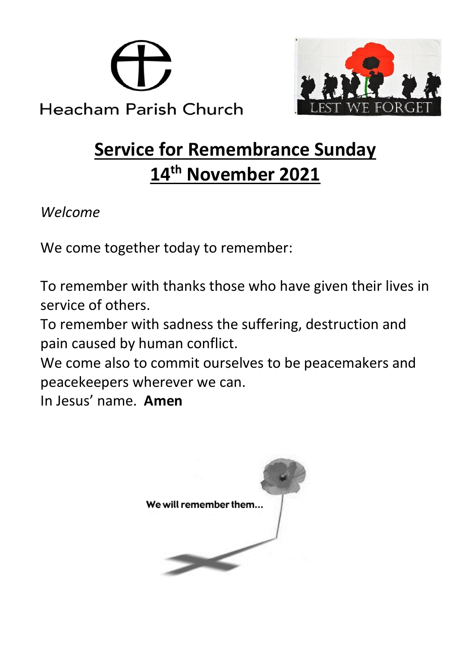



# **Service for Remembrance Sunday 14th November 2021**

*Welcome*

We come together today to remember:

To remember with thanks those who have given their lives in service of others.

To remember with sadness the suffering, destruction and pain caused by human conflict.

We come also to commit ourselves to be peacemakers and peacekeepers wherever we can.

In Jesus' name. **Amen**

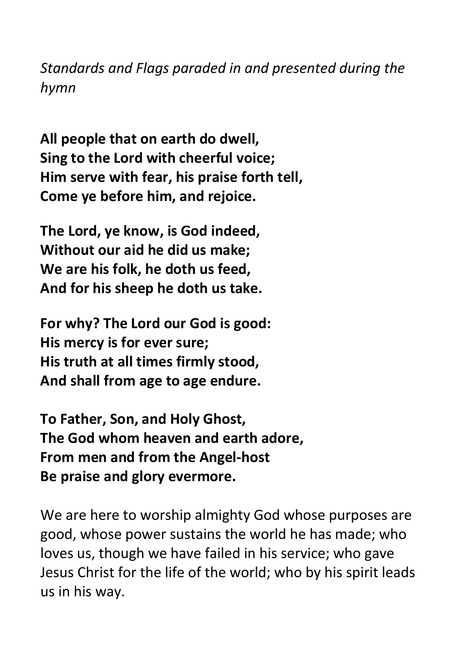*Standards and Flags paraded in and presented during the hymn* 

**All people that on earth do dwell, Sing to the Lord with cheerful voice; Him serve with fear, his praise forth tell, Come ye before him, and rejoice.**

**The Lord, ye know, is God indeed, Without our aid he did us make; We are his folk, he doth us feed, And for his sheep he doth us take.**

**For why? The Lord our God is good: His mercy is for ever sure; His truth at all times firmly stood, And shall from age to age endure.**

**To Father, Son, and Holy Ghost, The God whom heaven and earth adore, From men and from the Angel-host Be praise and glory evermore.** 

We are here to worship almighty God whose purposes are good, whose power sustains the world he has made; who loves us, though we have failed in his service; who gave Jesus Christ for the life of the world; who by his spirit leads us in his way.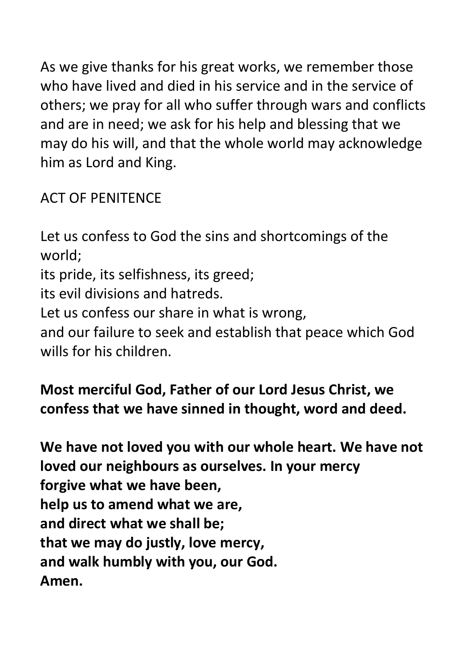As we give thanks for his great works, we remember those who have lived and died in his service and in the service of others; we pray for all who suffer through wars and conflicts and are in need; we ask for his help and blessing that we may do his will, and that the whole world may acknowledge him as Lord and King.

ACT OF PENITENCE

Let us confess to God the sins and shortcomings of the world; its pride, its selfishness, its greed; its evil divisions and hatreds. Let us confess our share in what is wrong, and our failure to seek and establish that peace which God wills for his children.

**Most merciful God, Father of our Lord Jesus Christ, we confess that we have sinned in thought, word and deed.**

**We have not loved you with our whole heart. We have not loved our neighbours as ourselves. In your mercy forgive what we have been, help us to amend what we are, and direct what we shall be; that we may do justly, love mercy, and walk humbly with you, our God. Amen.**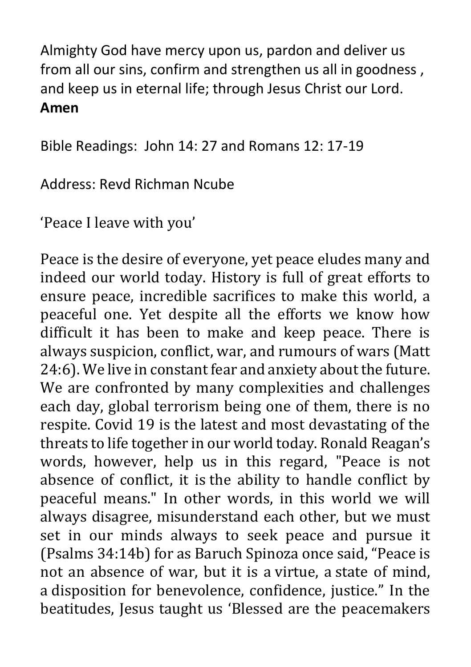Almighty God have mercy upon us, pardon and deliver us from all our sins, confirm and strengthen us all in goodness , and keep us in eternal life; through Jesus Christ our Lord. **Amen** 

Bible Readings: John 14: 27 and Romans 12: 17-19

Address: Revd Richman Ncube

'Peace I leave with you'

Peace is the desire of everyone, yet peace eludes many and indeed our world today. History is full of great efforts to ensure peace, incredible sacrifices to make this world, a peaceful one. Yet despite all the efforts we know how difficult it has been to make and keep peace. There is always suspicion, conflict, war, and rumours of wars (Matt 24:6). We live in constant fear and anxiety about the future. We are confronted by many complexities and challenges each day, global terrorism being one of them, there is no respite. Covid 19 is the latest and most devastating of the threats to life together in our world today. Ronald Reagan's words, however, help us in this regard, "Peace is not absence of conflict, it is the ability to handle conflict by peaceful means." In other words, in this world we will always disagree, misunderstand each other, but we must set in our minds always to seek peace and pursue it (Psalms 34:14b) for as Baruch Spinoza once said, "Peace is not an absence of war, but it is a virtue, a state of mind, a disposition for benevolence, confidence, justice." In the beatitudes, Jesus taught us 'Blessed are the peacemakers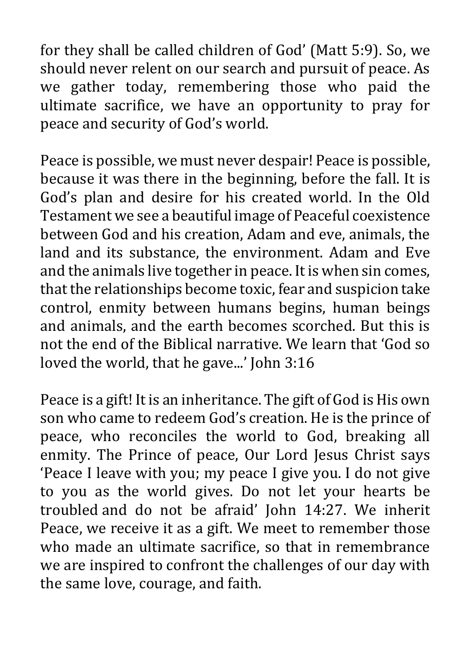for they shall be called children of God' (Matt 5:9). So, we should never relent on our search and pursuit of peace. As we gather today, remembering those who paid the ultimate sacrifice, we have an opportunity to pray for peace and security of God's world.

Peace is possible, we must never despair! Peace is possible, because it was there in the beginning, before the fall. It is God's plan and desire for his created world. In the Old Testament we see a beautiful image of Peaceful coexistence between God and his creation, Adam and eve, animals, the land and its substance, the environment. Adam and Eve and the animals live together in peace. It is when sin comes, that the relationships become toxic, fear and suspicion take control, enmity between humans begins, human beings and animals, and the earth becomes scorched. But this is not the end of the Biblical narrative. We learn that 'God so loved the world, that he gave...' John 3:16

Peace is a gift! It is an inheritance. The gift of God is His own son who came to redeem God's creation. He is the prince of peace, who reconciles the world to God, breaking all enmity. The Prince of peace, Our Lord Jesus Christ says 'Peace I leave with you; my peace I give you. I do not give to you as the world gives. Do not let your hearts be troubled and do not be afraid' John 14:27. We inherit Peace, we receive it as a gift. We meet to remember those who made an ultimate sacrifice, so that in remembrance we are inspired to confront the challenges of our day with the same love, courage, and faith.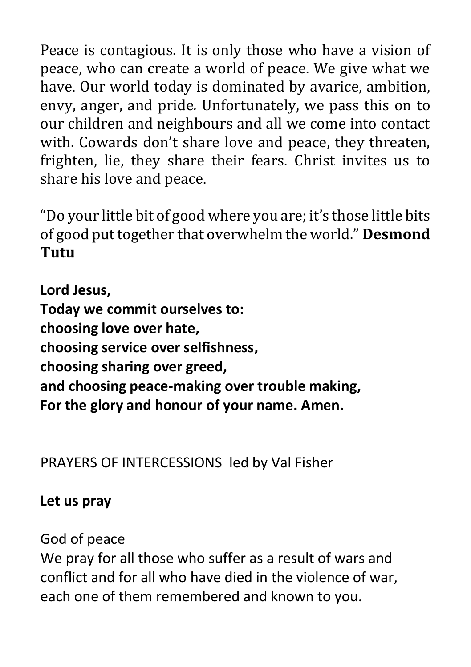Peace is contagious. It is only those who have a vision of peace, who can create a world of peace. We give what we have. Our world today is dominated by avarice, ambition, envy, anger, and pride*.* Unfortunately, we pass this on to our children and neighbours and all we come into contact with. Cowards don't share love and peace, they threaten, frighten, lie, they share their fears. Christ invites us to share his love and peace.

"Do your little bit of good where you are; it's those little bits of good put together that overwhelm the world." **Desmond Tutu**

**Lord Jesus, Today we commit ourselves to: choosing love over hate, choosing service over selfishness, choosing sharing over greed, and choosing peace-making over trouble making, For the glory and honour of your name. Amen.**

PRAYERS OF INTERCESSIONS led by Val Fisher

#### **Let us pray**

God of peace

We pray for all those who suffer as a result of wars and conflict and for all who have died in the violence of war, each one of them remembered and known to you.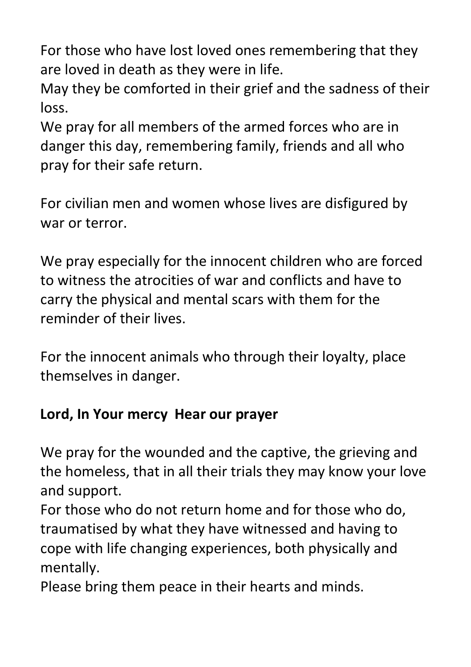For those who have lost loved ones remembering that they are loved in death as they were in life.

May they be comforted in their grief and the sadness of their loss.

We pray for all members of the armed forces who are in danger this day, remembering family, friends and all who pray for their safe return.

For civilian men and women whose lives are disfigured by war or terror.

We pray especially for the innocent children who are forced to witness the atrocities of war and conflicts and have to carry the physical and mental scars with them for the reminder of their lives.

For the innocent animals who through their loyalty, place themselves in danger.

# **Lord, In Your mercy Hear our prayer**

We pray for the wounded and the captive, the grieving and the homeless, that in all their trials they may know your love and support.

For those who do not return home and for those who do, traumatised by what they have witnessed and having to cope with life changing experiences, both physically and mentally.

Please bring them peace in their hearts and minds.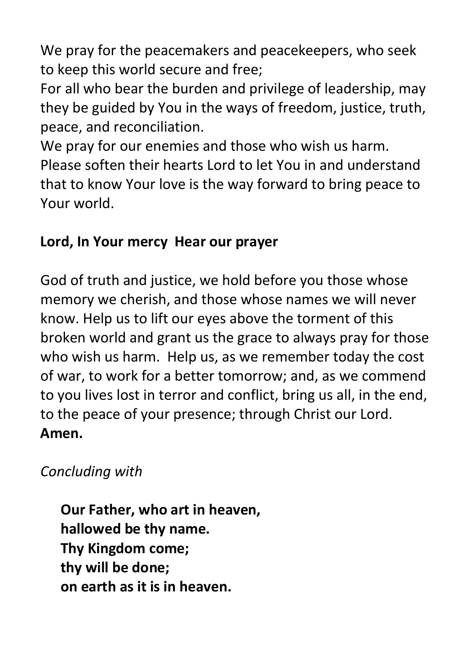We pray for the peacemakers and peacekeepers, who seek to keep this world secure and free;

For all who bear the burden and privilege of leadership, may they be guided by You in the ways of freedom, justice, truth, peace, and reconciliation.

We pray for our enemies and those who wish us harm. Please soften their hearts Lord to let You in and understand that to know Your love is the way forward to bring peace to Your world.

## **Lord, In Your mercy Hear our prayer**

God of truth and justice, we hold before you those whose memory we cherish, and those whose names we will never know. Help us to lift our eyes above the torment of this broken world and grant us the grace to always pray for those who wish us harm. Help us, as we remember today the cost of war, to work for a better tomorrow; and, as we commend to you lives lost in terror and conflict, bring us all, in the end, to the peace of your presence; through Christ our Lord. **Amen.** 

## *Concluding with*

**Our Father, who art in heaven, hallowed be thy name. Thy Kingdom come; thy will be done; on earth as it is in heaven.**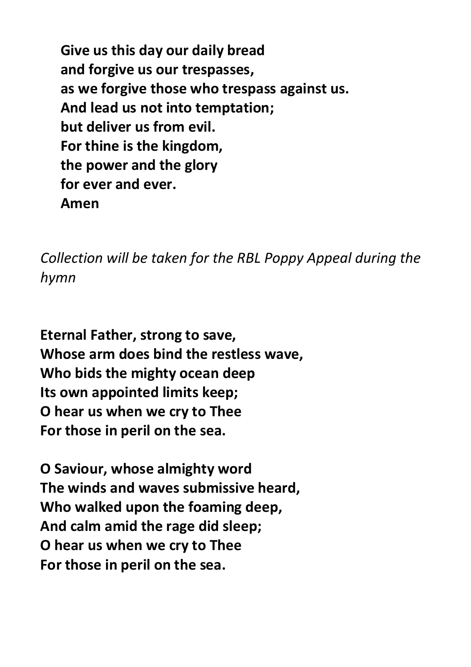**Give us this day our daily bread and forgive us our trespasses, as we forgive those who trespass against us. And lead us not into temptation; but deliver us from evil. For thine is the kingdom, the power and the glory for ever and ever. Amen**

*Collection will be taken for the RBL Poppy Appeal during the hymn*

**Eternal Father, strong to save, Whose arm does bind the restless wave, Who bids the mighty ocean deep Its own appointed limits keep; O hear us when we cry to Thee For those in peril on the sea.**

**O Saviour, whose almighty word The winds and waves submissive heard, Who walked upon the foaming deep, And calm amid the rage did sleep; O hear us when we cry to Thee For those in peril on the sea.**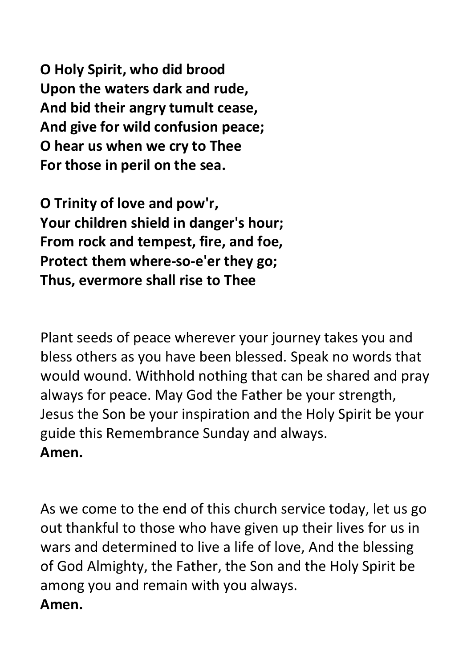**O Holy Spirit, who did brood Upon the waters dark and rude, And bid their angry tumult cease, And give for wild confusion peace; O hear us when we cry to Thee For those in peril on the sea.**

**O Trinity of love and pow'r, Your children shield in danger's hour; From rock and tempest, fire, and foe, Protect them where-so-e'er they go; Thus, evermore shall rise to Thee**

Plant seeds of peace wherever your journey takes you and bless others as you have been blessed. Speak no words that would wound. Withhold nothing that can be shared and pray always for peace. May God the Father be your strength, Jesus the Son be your inspiration and the Holy Spirit be your guide this Remembrance Sunday and always. **Amen.**

As we come to the end of this church service today, let us go out thankful to those who have given up their lives for us in wars and determined to live a life of love, And the blessing of God Almighty, the Father, the Son and the Holy Spirit be among you and remain with you always. **Amen.**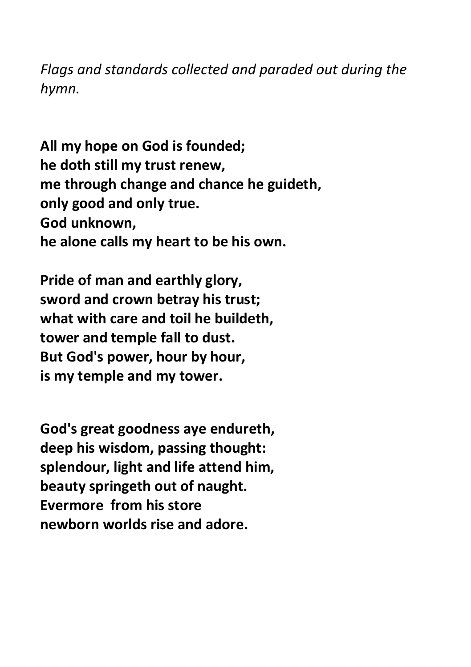*Flags and standards collected and paraded out during the hymn.* 

**All my hope on God is founded; he doth still my trust renew, me through change and chance he guideth, only good and only true. God unknown, he alone calls my heart to be his own.**

**Pride of man and earthly glory, sword and crown betray his trust; what with care and toil he buildeth, tower and temple fall to dust. But God's power, hour by hour, is my temple and my tower.**

**God's great goodness aye endureth, deep his wisdom, passing thought: splendour, light and life attend him, beauty springeth out of naught. Evermore from his store newborn worlds rise and adore.**